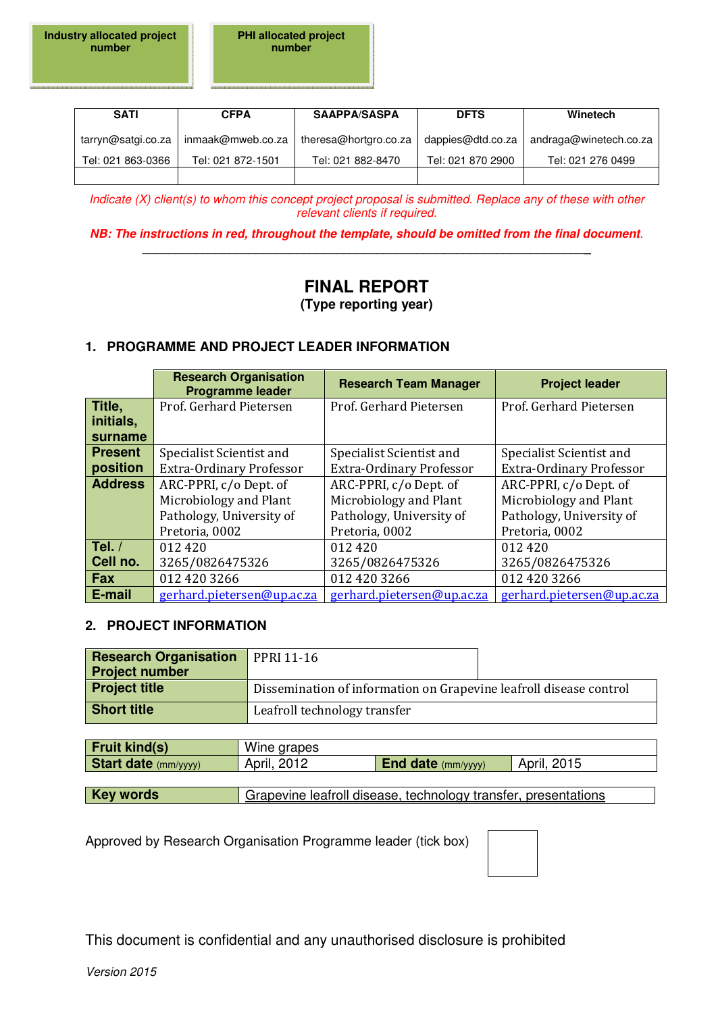**PHI allocated project number** 

| <b>SATI</b>        | <b>CFPA</b>       | <b>SAAPPA/SASPA</b>   | <b>DFTS</b>       | Winetech               |
|--------------------|-------------------|-----------------------|-------------------|------------------------|
| tarryn@satgi.co.za | inmaak@mweb.co.za | theresa@hortgro.co.za | dappies@dtd.co.za | andraga@winetech.co.za |
| Tel: 021 863-0366  | Tel: 021 872-1501 | Tel: 021 882-8470     | Tel: 021 870 2900 | Tel: 021 276 0499      |
|                    |                   |                       |                   |                        |

Indicate (X) client(s) to whom this concept project proposal is submitted. Replace any of these with other relevant clients if required.

**NB: The instructions in red, throughout the template, should be omitted from the final document**. \_\_\_\_\_\_\_\_\_\_\_\_\_\_\_\_\_\_\_\_\_\_\_\_\_\_\_\_\_\_\_\_\_\_\_\_\_\_\_\_\_\_\_\_\_\_\_\_\_\_\_\_\_\_\_\_\_\_\_\_\_\_\_\_\_\_**\_** 

# **FINAL REPORT (Type reporting year)**

## **1. PROGRAMME AND PROJECT LEADER INFORMATION**

|                | <b>Research Organisation</b><br><b>Programme leader</b> | <b>Research Team Manager</b> | <b>Project leader</b>           |
|----------------|---------------------------------------------------------|------------------------------|---------------------------------|
| Title,         | Prof. Gerhard Pietersen                                 | Prof. Gerhard Pietersen      | Prof. Gerhard Pietersen         |
| initials,      |                                                         |                              |                                 |
| surname        |                                                         |                              |                                 |
| <b>Present</b> | Specialist Scientist and                                | Specialist Scientist and     | Specialist Scientist and        |
| position       | <b>Extra-Ordinary Professor</b>                         | Extra-Ordinary Professor     | <b>Extra-Ordinary Professor</b> |
| <b>Address</b> | ARC-PPRI, c/o Dept. of                                  | ARC-PPRI, c/o Dept. of       | ARC-PPRI, c/o Dept. of          |
|                | Microbiology and Plant                                  | Microbiology and Plant       | Microbiology and Plant          |
|                | Pathology, University of                                | Pathology, University of     | Pathology, University of        |
|                | Pretoria, 0002                                          | Pretoria, 0002               | Pretoria, 0002                  |
| Tel. $/$       | 012 420                                                 | 012420                       | 012420                          |
| Cell no.       | 3265/0826475326                                         | 3265/0826475326              | 3265/0826475326                 |
| <b>Fax</b>     | 012 420 3266                                            | 012 420 3266                 | 012 420 3266                    |
| E-mail         | gerhard.pietersen@up.ac.za                              | gerhard.pietersen@up.ac.za   | gerhard.pietersen@up.ac.za      |

#### **2. PROJECT INFORMATION**

| <b>Research Organisation</b> PPRI 11-16<br><b>Project number</b> |                                                                    |  |
|------------------------------------------------------------------|--------------------------------------------------------------------|--|
| <b>Project title</b>                                             | Dissemination of information on Grapevine leafroll disease control |  |
| <b>Short title</b>                                               | Leafroll technology transfer                                       |  |

| <b>Fruit kind(s)</b>        | Wine grapes                                                    |                           |             |
|-----------------------------|----------------------------------------------------------------|---------------------------|-------------|
| <b>Start date</b> (mm/yyyy) | April, 2012                                                    | <b>End date</b> (mm/yyyy) | April, 2015 |
|                             |                                                                |                           |             |
| <b>Key words</b>            | Grapevine leafroll disease, technology transfer, presentations |                           |             |

Approved by Research Organisation Programme leader (tick box)

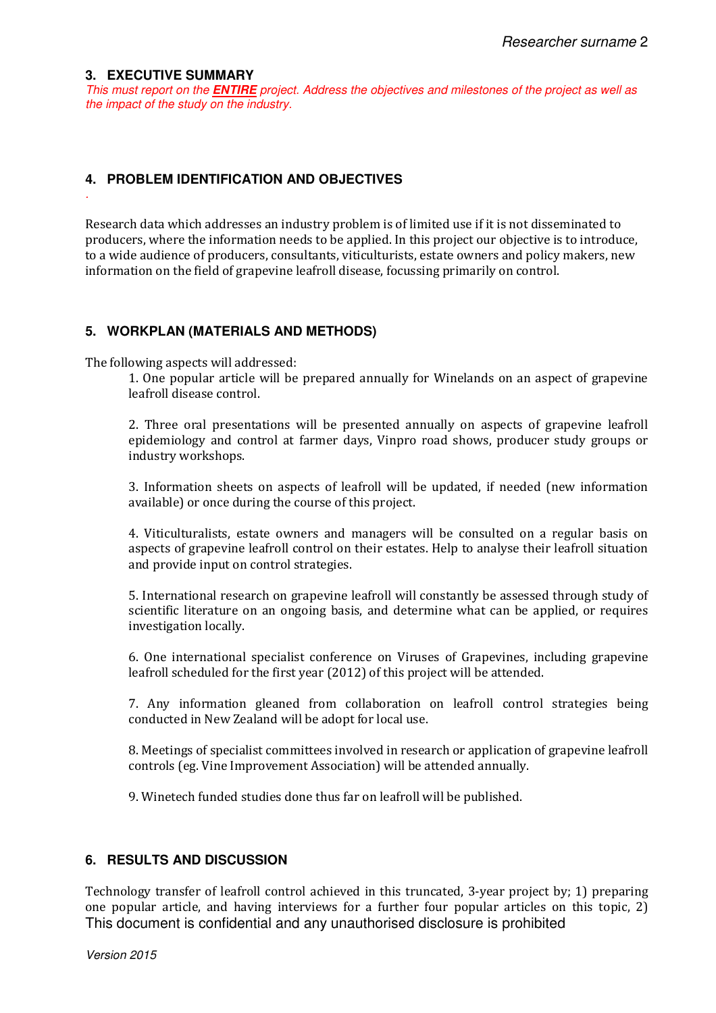#### **3. EXECUTIVE SUMMARY**

.

This must report on the **ENTIRE** project. Address the objectives and milestones of the project as well as the impact of the study on the industry.

#### **4. PROBLEM IDENTIFICATION AND OBJECTIVES**

Research data which addresses an industry problem is of limited use if it is not disseminated to producers, where the information needs to be applied. In this project our objective is to introduce, to a wide audience of producers, consultants, viticulturists, estate owners and policy makers, new information on the field of grapevine leafroll disease, focussing primarily on control.

#### **5. WORKPLAN (MATERIALS AND METHODS)**

The following aspects will addressed:

1. One popular article will be prepared annually for Winelands on an aspect of grapevine leafroll disease control.

2. Three oral presentations will be presented annually on aspects of grapevine leafroll epidemiology and control at farmer days, Vinpro road shows, producer study groups or industry workshops.

3. Information sheets on aspects of leafroll will be updated, if needed (new information available) or once during the course of this project.

4. Viticulturalists, estate owners and managers will be consulted on a regular basis on aspects of grapevine leafroll control on their estates. Help to analyse their leafroll situation and provide input on control strategies.

5. International research on grapevine leafroll will constantly be assessed through study of scientific literature on an ongoing basis, and determine what can be applied, or requires investigation locally.

6. One international specialist conference on Viruses of Grapevines, including grapevine leafroll scheduled for the first year (2012) of this project will be attended.

7. Any information gleaned from collaboration on leafroll control strategies being conducted in New Zealand will be adopt for local use.

8. Meetings of specialist committees involved in research or application of grapevine leafroll controls (eg. Vine Improvement Association) will be attended annually.

9. Winetech funded studies done thus far on leafroll will be published.

#### **6. RESULTS AND DISCUSSION**

This document is confidential and any unauthorised disclosure is prohibited Technology transfer of leafroll control achieved in this truncated, 3-year project by; 1) preparing one popular article, and having interviews for a further four popular articles on this topic, 2)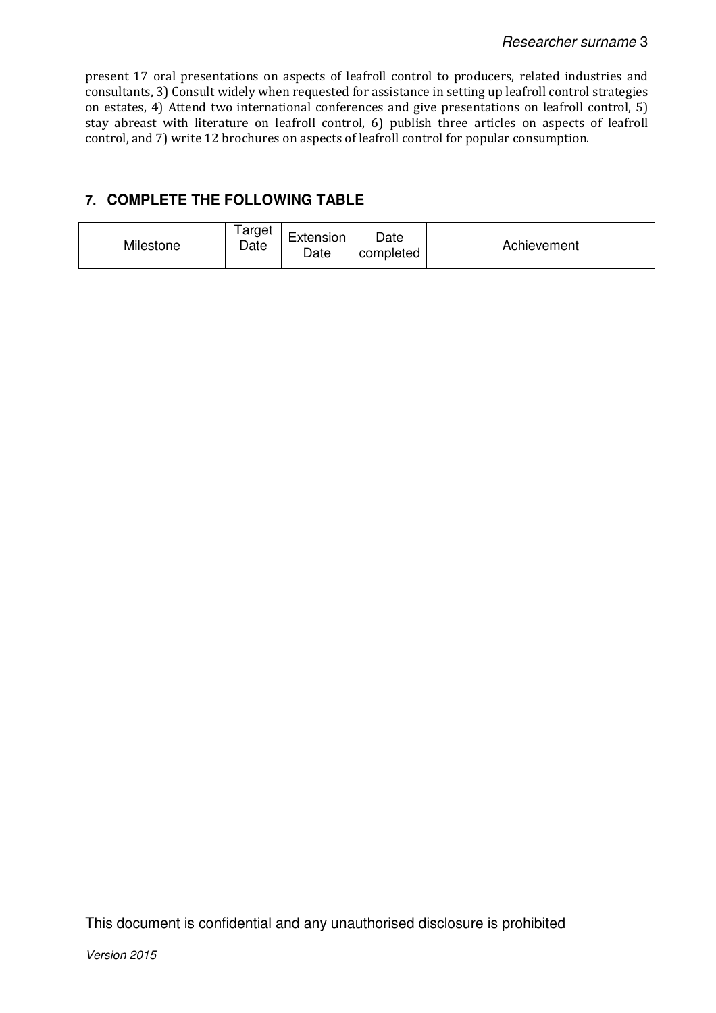present 17 oral presentations on aspects of leafroll control to producers, related industries and consultants, 3) Consult widely when requested for assistance in setting up leafroll control strategies on estates, 4) Attend two international conferences and give presentations on leafroll control, 5) stay abreast with literature on leafroll control, 6) publish three articles on aspects of leafroll control, and 7) write 12 brochures on aspects of leafroll control for popular consumption.

# **7. COMPLETE THE FOLLOWING TABLE**

| Milestone | ⊺arget<br>Date | $\overline{\phantom{0}}$<br>Extension<br>Date | Date<br>completed | Achievement |
|-----------|----------------|-----------------------------------------------|-------------------|-------------|
|-----------|----------------|-----------------------------------------------|-------------------|-------------|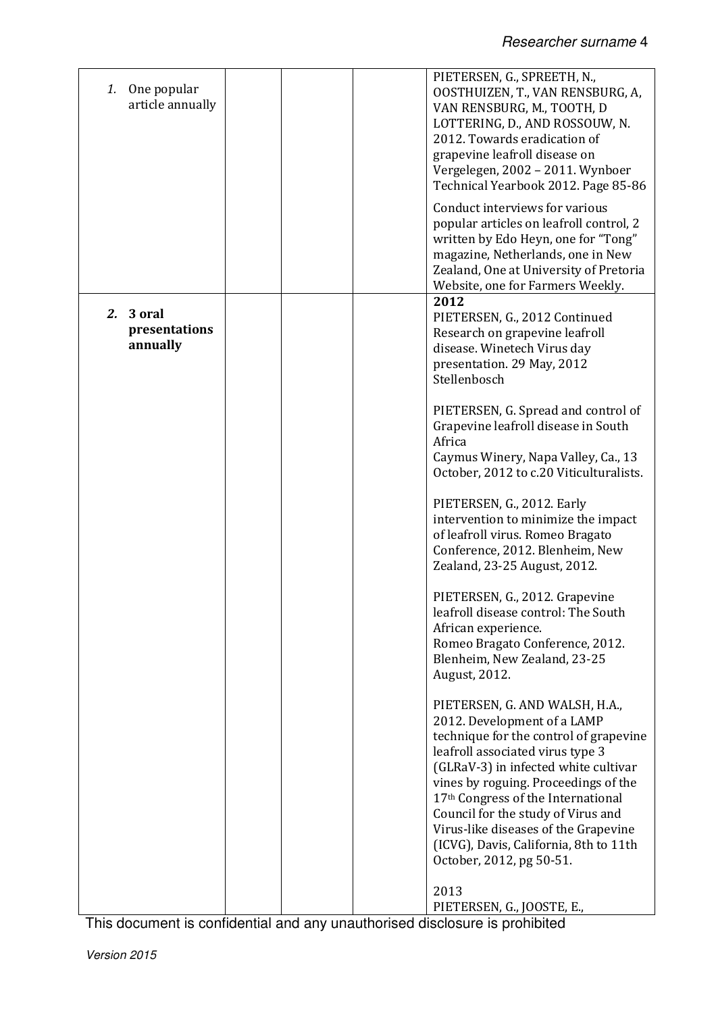| One popular<br>1.<br>article annually     | PIETERSEN, G., SPREETH, N.,<br>OOSTHUIZEN, T., VAN RENSBURG, A,<br>VAN RENSBURG, M., TOOTH, D<br>LOTTERING, D., AND ROSSOUW, N.<br>2012. Towards eradication of<br>grapevine leafroll disease on<br>Vergelegen, 2002 - 2011. Wynboer<br>Technical Yearbook 2012. Page 85-86                                                                                                                                           |
|-------------------------------------------|-----------------------------------------------------------------------------------------------------------------------------------------------------------------------------------------------------------------------------------------------------------------------------------------------------------------------------------------------------------------------------------------------------------------------|
|                                           | Conduct interviews for various<br>popular articles on leafroll control, 2<br>written by Edo Heyn, one for "Tong"<br>magazine, Netherlands, one in New<br>Zealand, One at University of Pretoria<br>Website, one for Farmers Weekly.                                                                                                                                                                                   |
| 3 oral<br>2.<br>presentations<br>annually | 2012<br>PIETERSEN, G., 2012 Continued<br>Research on grapevine leafroll<br>disease. Winetech Virus day<br>presentation. 29 May, 2012<br>Stellenbosch                                                                                                                                                                                                                                                                  |
|                                           | PIETERSEN, G. Spread and control of<br>Grapevine leafroll disease in South<br>Africa<br>Caymus Winery, Napa Valley, Ca., 13<br>October, 2012 to c.20 Viticulturalists.                                                                                                                                                                                                                                                |
|                                           | PIETERSEN, G., 2012. Early<br>intervention to minimize the impact<br>of leafroll virus. Romeo Bragato<br>Conference, 2012. Blenheim, New<br>Zealand, 23-25 August, 2012.                                                                                                                                                                                                                                              |
|                                           | PIETERSEN, G., 2012. Grapevine<br>leafroll disease control: The South<br>African experience.<br>Romeo Bragato Conference, 2012.<br>Blenheim, New Zealand, 23-25<br>August, 2012.                                                                                                                                                                                                                                      |
|                                           | PIETERSEN, G. AND WALSH, H.A.,<br>2012. Development of a LAMP<br>technique for the control of grapevine<br>leafroll associated virus type 3<br>(GLRaV-3) in infected white cultivar<br>vines by roguing. Proceedings of the<br>17th Congress of the International<br>Council for the study of Virus and<br>Virus-like diseases of the Grapevine<br>(ICVG), Davis, California, 8th to 11th<br>October, 2012, pg 50-51. |
|                                           | 2013<br>PIETERSEN, G., JOOSTE, E.,                                                                                                                                                                                                                                                                                                                                                                                    |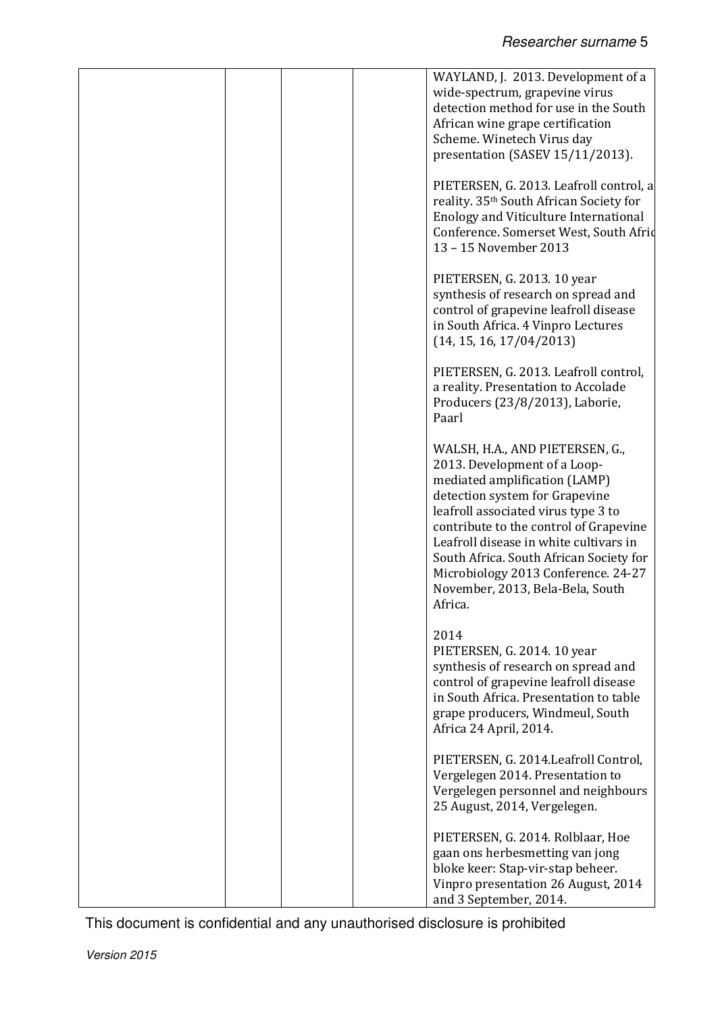|  | WAYLAND, J. 2013. Development of a<br>wide-spectrum, grapevine virus<br>detection method for use in the South<br>African wine grape certification<br>Scheme. Winetech Virus day<br>presentation (SASEV 15/11/2013).                                                                                                                                                                            |
|--|------------------------------------------------------------------------------------------------------------------------------------------------------------------------------------------------------------------------------------------------------------------------------------------------------------------------------------------------------------------------------------------------|
|  | PIETERSEN, G. 2013. Leafroll control, a<br>reality. 35th South African Society for<br><b>Enology and Viticulture International</b><br>Conference. Somerset West, South Afrid<br>13 - 15 November 2013                                                                                                                                                                                          |
|  | PIETERSEN, G. 2013. 10 year<br>synthesis of research on spread and<br>control of grapevine leafroll disease<br>in South Africa. 4 Vinpro Lectures<br>(14, 15, 16, 17/04/2013)                                                                                                                                                                                                                  |
|  | PIETERSEN, G. 2013. Leafroll control,<br>a reality. Presentation to Accolade<br>Producers (23/8/2013), Laborie,<br>Paarl                                                                                                                                                                                                                                                                       |
|  | WALSH, H.A., AND PIETERSEN, G.,<br>2013. Development of a Loop-<br>mediated amplification (LAMP)<br>detection system for Grapevine<br>leafroll associated virus type 3 to<br>contribute to the control of Grapevine<br>Leafroll disease in white cultivars in<br>South Africa. South African Society for<br>Microbiology 2013 Conference. 24-27<br>November, 2013, Bela-Bela, South<br>Africa. |
|  | 2014<br>PIETERSEN, G. 2014. 10 year<br>synthesis of research on spread and<br>control of grapevine leafroll disease<br>in South Africa. Presentation to table<br>grape producers, Windmeul, South<br>Africa 24 April, 2014.                                                                                                                                                                    |
|  | PIETERSEN, G. 2014. Leafroll Control,<br>Vergelegen 2014. Presentation to<br>Vergelegen personnel and neighbours<br>25 August, 2014, Vergelegen.                                                                                                                                                                                                                                               |
|  | PIETERSEN, G. 2014. Rolblaar, Hoe<br>gaan ons herbesmetting van jong<br>bloke keer: Stap-vir-stap beheer.<br>Vinpro presentation 26 August, 2014<br>and 3 September, 2014.                                                                                                                                                                                                                     |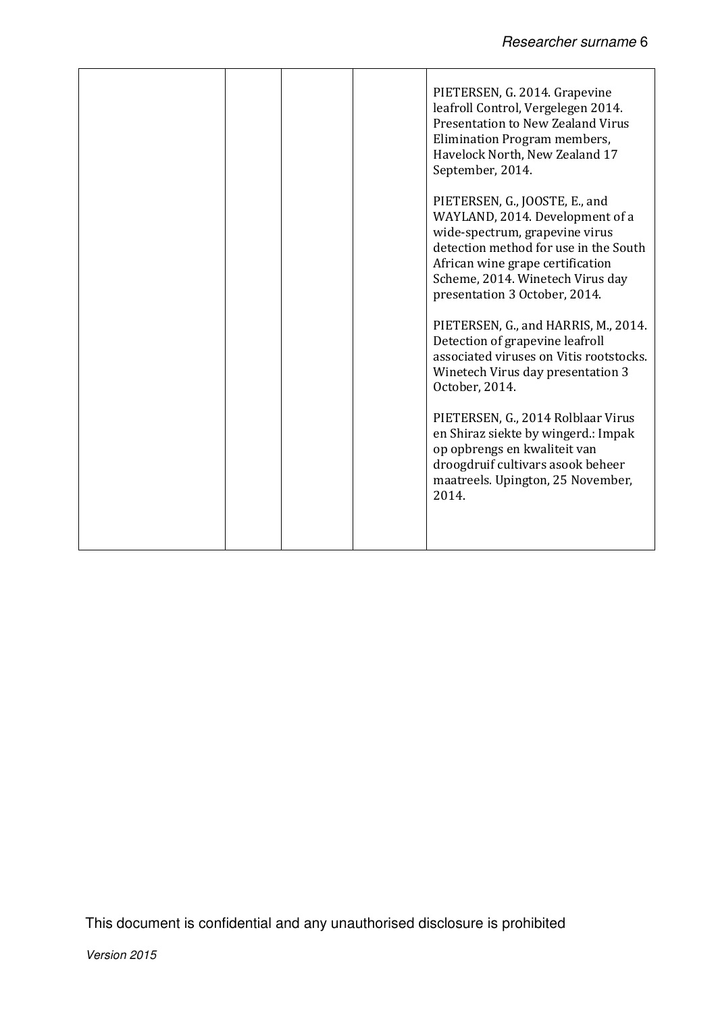|  |  | PIETERSEN, G. 2014. Grapevine<br>leafroll Control, Vergelegen 2014.<br><b>Presentation to New Zealand Virus</b><br>Elimination Program members,<br>Havelock North, New Zealand 17<br>September, 2014.                                                 |
|--|--|-------------------------------------------------------------------------------------------------------------------------------------------------------------------------------------------------------------------------------------------------------|
|  |  | PIETERSEN, G., JOOSTE, E., and<br>WAYLAND, 2014. Development of a<br>wide-spectrum, grapevine virus<br>detection method for use in the South<br>African wine grape certification<br>Scheme, 2014. Winetech Virus day<br>presentation 3 October, 2014. |
|  |  | PIETERSEN, G., and HARRIS, M., 2014.<br>Detection of grapevine leafroll<br>associated viruses on Vitis rootstocks.<br>Winetech Virus day presentation 3<br>October, 2014.                                                                             |
|  |  | PIETERSEN, G., 2014 Rolblaar Virus<br>en Shiraz siekte by wingerd.: Impak<br>op opbrengs en kwaliteit van<br>droogdruif cultivars asook beheer<br>maatreels. Upington, 25 November,<br>2014.                                                          |
|  |  |                                                                                                                                                                                                                                                       |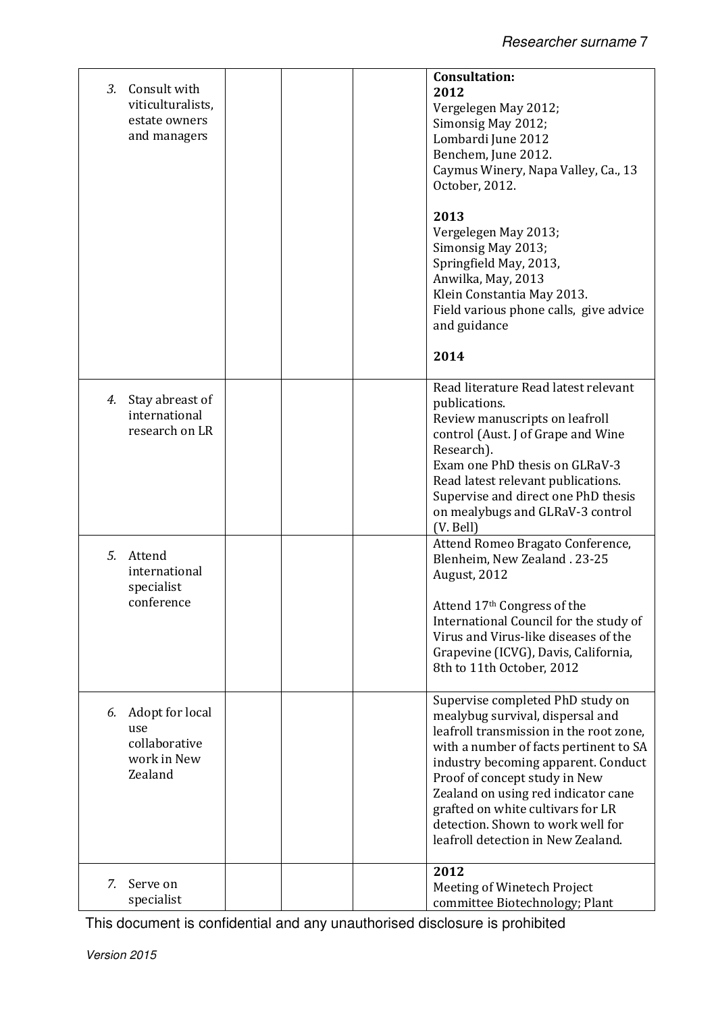| Consult with<br>3.<br>viticulturalists,<br>estate owners<br>and managers | <b>Consultation:</b><br>2012<br>Vergelegen May 2012;<br>Simonsig May 2012;<br>Lombardi June 2012<br>Benchem, June 2012.<br>Caymus Winery, Napa Valley, Ca., 13<br>October, 2012.<br>2013<br>Vergelegen May 2013;<br>Simonsig May 2013;<br>Springfield May, 2013,<br>Anwilka, May, 2013<br>Klein Constantia May 2013.<br>Field various phone calls, give advice<br>and guidance<br>2014   |
|--------------------------------------------------------------------------|------------------------------------------------------------------------------------------------------------------------------------------------------------------------------------------------------------------------------------------------------------------------------------------------------------------------------------------------------------------------------------------|
| Stay abreast of<br>4.<br>international<br>research on LR                 | Read literature Read latest relevant<br>publications.<br>Review manuscripts on leafroll<br>control (Aust. J of Grape and Wine<br>Research).<br>Exam one PhD thesis on GLRaV-3<br>Read latest relevant publications.<br>Supervise and direct one PhD thesis<br>on mealybugs and GLRaV-3 control<br>(V. Bell)                                                                              |
| 5.<br>Attend<br>international<br>specialist<br>conference                | Attend Romeo Bragato Conference,<br>Blenheim, New Zealand. 23-25<br><b>August, 2012</b><br>Attend 17th Congress of the<br>International Council for the study of<br>Virus and Virus-like diseases of the<br>Grapevine (ICVG), Davis, California,<br>8th to 11th October, 2012                                                                                                            |
| Adopt for local<br>6.<br>use<br>collaborative<br>work in New<br>Zealand  | Supervise completed PhD study on<br>mealybug survival, dispersal and<br>leafroll transmission in the root zone,<br>with a number of facts pertinent to SA<br>industry becoming apparent. Conduct<br>Proof of concept study in New<br>Zealand on using red indicator cane<br>grafted on white cultivars for LR<br>detection. Shown to work well for<br>leafroll detection in New Zealand. |
| 7.<br>Serve on<br>specialist                                             | 2012<br>Meeting of Winetech Project<br>committee Biotechnology; Plant                                                                                                                                                                                                                                                                                                                    |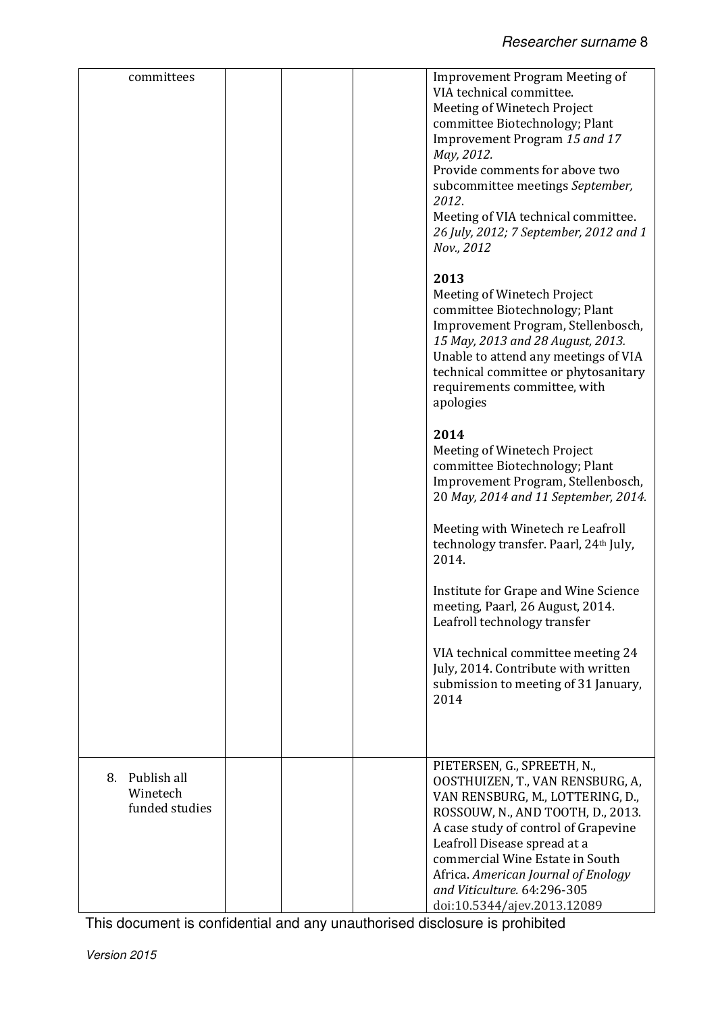| committees                                      | <b>Improvement Program Meeting of</b><br>VIA technical committee.<br>Meeting of Winetech Project<br>committee Biotechnology; Plant<br>Improvement Program 15 and 17<br>May, 2012.<br>Provide comments for above two<br>subcommittee meetings September,<br>2012.<br>Meeting of VIA technical committee.<br>26 July, 2012; 7 September, 2012 and 1<br>Nov., 2012 |
|-------------------------------------------------|-----------------------------------------------------------------------------------------------------------------------------------------------------------------------------------------------------------------------------------------------------------------------------------------------------------------------------------------------------------------|
|                                                 | 2013<br>Meeting of Winetech Project<br>committee Biotechnology; Plant<br>Improvement Program, Stellenbosch,<br>15 May, 2013 and 28 August, 2013.<br>Unable to attend any meetings of VIA<br>technical committee or phytosanitary<br>requirements committee, with<br>apologies                                                                                   |
|                                                 | 2014<br>Meeting of Winetech Project<br>committee Biotechnology; Plant<br>Improvement Program, Stellenbosch,<br>20 May, 2014 and 11 September, 2014.                                                                                                                                                                                                             |
|                                                 | Meeting with Winetech re Leafroll<br>technology transfer. Paarl, 24th July,<br>2014.                                                                                                                                                                                                                                                                            |
|                                                 | Institute for Grape and Wine Science<br>meeting, Paarl, 26 August, 2014.<br>Leafroll technology transfer                                                                                                                                                                                                                                                        |
|                                                 | VIA technical committee meeting 24<br>July, 2014. Contribute with written<br>submission to meeting of 31 January,<br>2014                                                                                                                                                                                                                                       |
|                                                 |                                                                                                                                                                                                                                                                                                                                                                 |
| Publish all<br>8.<br>Winetech<br>funded studies | PIETERSEN, G., SPREETH, N.,<br>OOSTHUIZEN, T., VAN RENSBURG, A,<br>VAN RENSBURG, M., LOTTERING, D.,<br>ROSSOUW, N., AND TOOTH, D., 2013.<br>A case study of control of Grapevine<br>Leafroll Disease spread at a<br>commercial Wine Estate in South<br>Africa. American Journal of Enology<br>and Viticulture. 64:296-305                                       |
|                                                 | doi:10.5344/ajev.2013.12089                                                                                                                                                                                                                                                                                                                                     |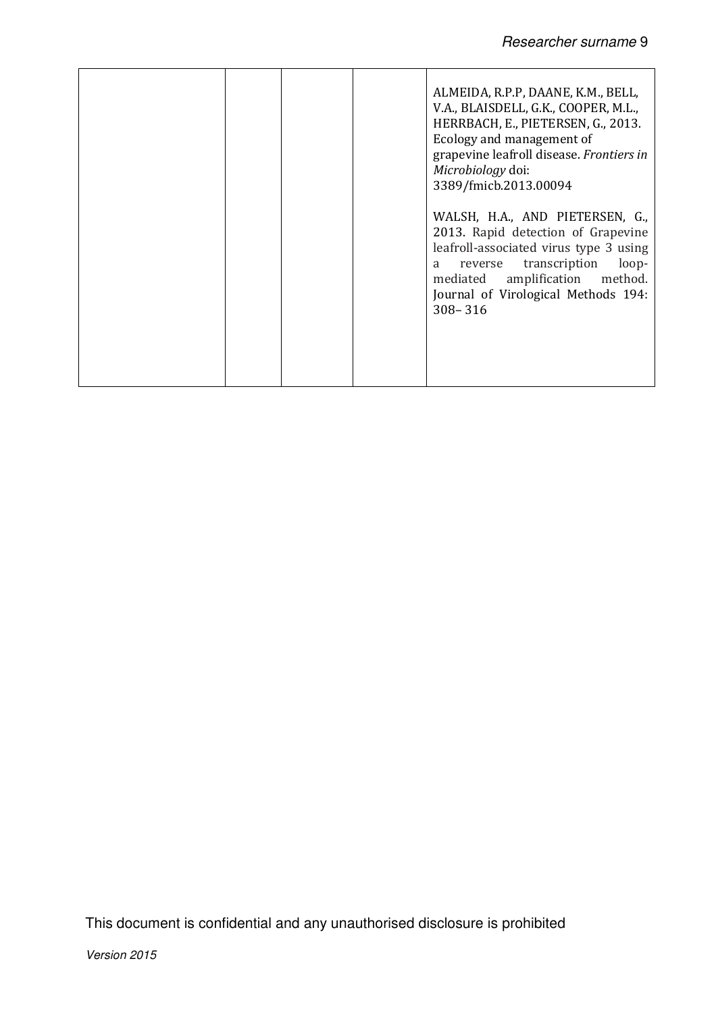|  |  | ALMEIDA, R.P.P, DAANE, K.M., BELL,<br>V.A., BLAISDELL, G.K., COOPER, M.L.,<br>HERRBACH, E., PIETERSEN, G., 2013.<br>Ecology and management of<br>grapevine leafroll disease. Frontiers in<br>Microbiology doi:<br>3389/fmicb.2013.00094              |
|--|--|------------------------------------------------------------------------------------------------------------------------------------------------------------------------------------------------------------------------------------------------------|
|  |  | WALSH, H.A., AND PIETERSEN, G.,<br>2013. Rapid detection of Grapevine<br>leafroll-associated virus type 3 using<br>transcription<br>loop-<br>reverse<br>a<br>amplification method.<br>mediated<br>Journal of Virological Methods 194:<br>$308 - 316$ |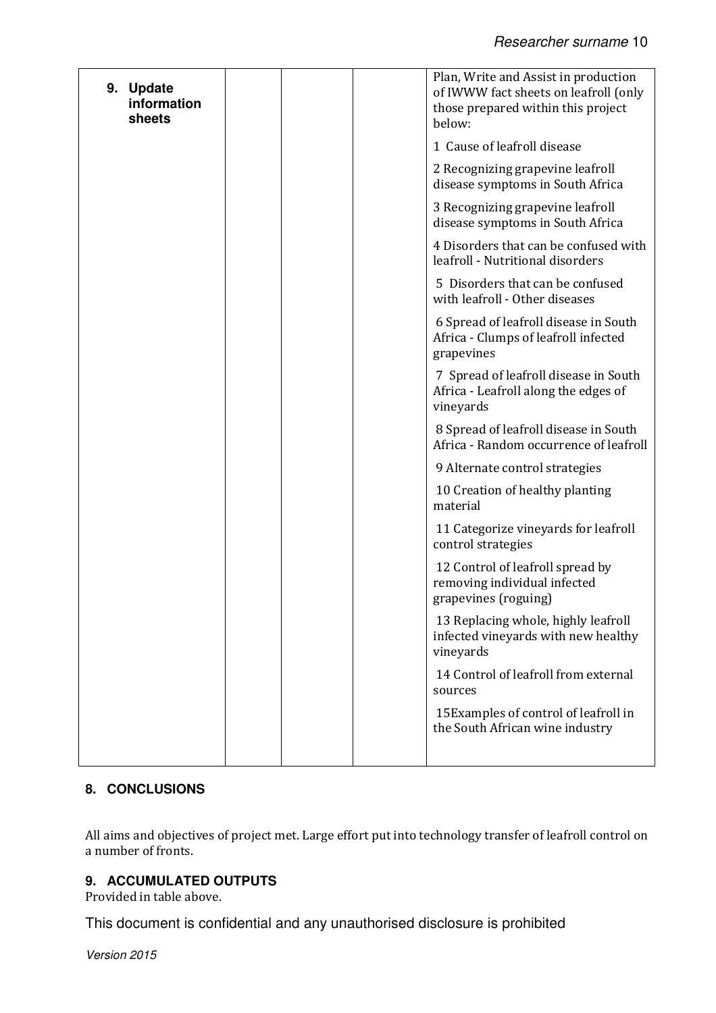| 9. Update<br>information<br>sheets | Plan, Write and Assist in production<br>of IWWW fact sheets on leafroll (only<br>those prepared within this project<br>below: |
|------------------------------------|-------------------------------------------------------------------------------------------------------------------------------|
|                                    | 1 Cause of leafroll disease                                                                                                   |
|                                    | 2 Recognizing grapevine leafroll<br>disease symptoms in South Africa                                                          |
|                                    | 3 Recognizing grapevine leafroll<br>disease symptoms in South Africa                                                          |
|                                    | 4 Disorders that can be confused with<br>leafroll - Nutritional disorders                                                     |
|                                    | 5 Disorders that can be confused<br>with leafroll - Other diseases                                                            |
|                                    | 6 Spread of leafroll disease in South<br>Africa - Clumps of leafroll infected<br>grapevines                                   |
|                                    | 7 Spread of leafroll disease in South<br>Africa - Leafroll along the edges of<br>vineyards                                    |
|                                    | 8 Spread of leafroll disease in South<br>Africa - Random occurrence of leafroll                                               |
|                                    | 9 Alternate control strategies                                                                                                |
|                                    | 10 Creation of healthy planting<br>material                                                                                   |
|                                    | 11 Categorize vineyards for leafroll<br>control strategies                                                                    |
|                                    | 12 Control of leafroll spread by<br>removing individual infected<br>grapevines (roguing)                                      |
|                                    | 13 Replacing whole, highly leafroll<br>infected vineyards with new healthy<br>vineyards                                       |
|                                    | 14 Control of leafroll from external<br>sources                                                                               |
|                                    | 15 Examples of control of leafroll in<br>the South African wine industry                                                      |
|                                    |                                                                                                                               |

# **8. CONCLUSIONS**

All aims and objectives of project met. Large effort put into technology transfer of leafroll control on a number of fronts.

## **9. ACCUMULATED OUTPUTS**

Provided in table above.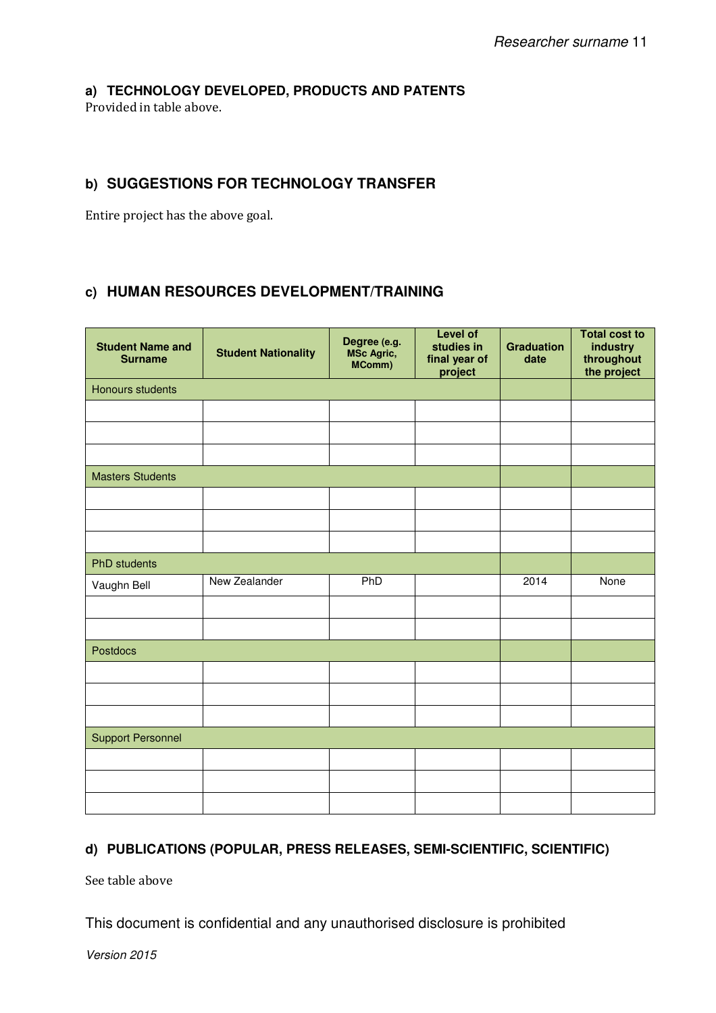## **a) TECHNOLOGY DEVELOPED, PRODUCTS AND PATENTS**

Provided in table above.

# **b) SUGGESTIONS FOR TECHNOLOGY TRANSFER**

Entire project has the above goal.

# **c) HUMAN RESOURCES DEVELOPMENT/TRAINING**

| <b>Student Name and</b><br><b>Surname</b> | <b>Student Nationality</b> | Degree (e.g.<br>MSc Agric,<br>MComm) | <b>Level of</b><br>studies in<br>final year of<br>project | <b>Graduation</b><br>date | <b>Total cost to</b><br>industry<br>throughout<br>the project |  |  |
|-------------------------------------------|----------------------------|--------------------------------------|-----------------------------------------------------------|---------------------------|---------------------------------------------------------------|--|--|
| Honours students                          |                            |                                      |                                                           |                           |                                                               |  |  |
|                                           |                            |                                      |                                                           |                           |                                                               |  |  |
|                                           |                            |                                      |                                                           |                           |                                                               |  |  |
|                                           |                            |                                      |                                                           |                           |                                                               |  |  |
| <b>Masters Students</b>                   |                            |                                      |                                                           |                           |                                                               |  |  |
|                                           |                            |                                      |                                                           |                           |                                                               |  |  |
|                                           |                            |                                      |                                                           |                           |                                                               |  |  |
|                                           |                            |                                      |                                                           |                           |                                                               |  |  |
| <b>PhD</b> students                       |                            |                                      |                                                           |                           |                                                               |  |  |
| Vaughn Bell                               | New Zealander              | PhD                                  |                                                           | 2014                      | None                                                          |  |  |
|                                           |                            |                                      |                                                           |                           |                                                               |  |  |
|                                           |                            |                                      |                                                           |                           |                                                               |  |  |
| Postdocs                                  |                            |                                      |                                                           |                           |                                                               |  |  |
|                                           |                            |                                      |                                                           |                           |                                                               |  |  |
|                                           |                            |                                      |                                                           |                           |                                                               |  |  |
|                                           |                            |                                      |                                                           |                           |                                                               |  |  |
| <b>Support Personnel</b>                  |                            |                                      |                                                           |                           |                                                               |  |  |
|                                           |                            |                                      |                                                           |                           |                                                               |  |  |
|                                           |                            |                                      |                                                           |                           |                                                               |  |  |
|                                           |                            |                                      |                                                           |                           |                                                               |  |  |

# **d) PUBLICATIONS (POPULAR, PRESS RELEASES, SEMI-SCIENTIFIC, SCIENTIFIC)**

See table above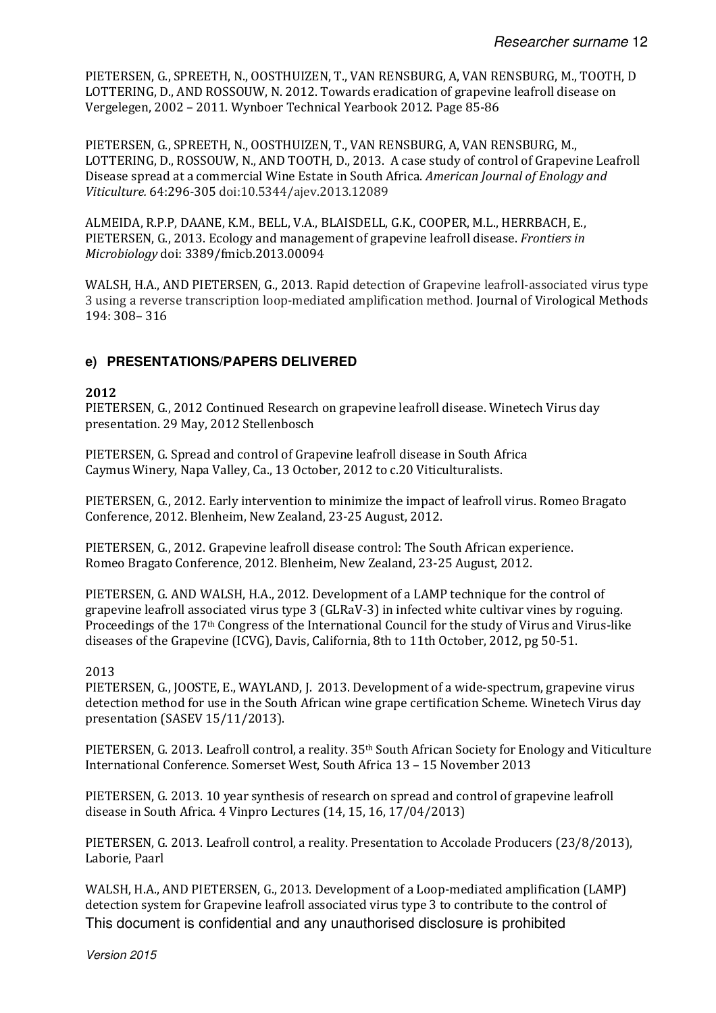PIETERSEN, G., SPREETH, N., OOSTHUIZEN, T., VAN RENSBURG, A, VAN RENSBURG, M., TOOTH, D LOTTERING, D., AND ROSSOUW, N. 2012. Towards eradication of grapevine leafroll disease on Vergelegen, 2002 – 2011. Wynboer Technical Yearbook 2012. Page 85-86

PIETERSEN, G., SPREETH, N., OOSTHUIZEN, T., VAN RENSBURG, A, VAN RENSBURG, M., LOTTERING, D., ROSSOUW, N., AND TOOTH, D., 2013. A case study of control of Grapevine Leafroll Disease spread at a commercial Wine Estate in South Africa. American Journal of Enology and Viticulture. 64:296-305 doi:10.5344/ajev.2013.12089

ALMEIDA, R.P.P, DAANE, K.M., BELL, V.A., BLAISDELL, G.K., COOPER, M.L., HERRBACH, E., PIETERSEN, G., 2013. Ecology and management of grapevine leafroll disease. Frontiers in Microbiology doi: 3389/fmicb.2013.00094

WALSH, H.A., AND PIETERSEN, G., 2013. Rapid detection of Grapevine leafroll-associated virus type 3 using a reverse transcription loop-mediated amplification method. Journal of Virological Methods 194: 308– 316

## **e) PRESENTATIONS/PAPERS DELIVERED**

#### 2012

PIETERSEN, G., 2012 Continued Research on grapevine leafroll disease. Winetech Virus day presentation. 29 May, 2012 Stellenbosch

PIETERSEN, G. Spread and control of Grapevine leafroll disease in South Africa Caymus Winery, Napa Valley, Ca., 13 October, 2012 to c.20 Viticulturalists.

PIETERSEN, G., 2012. Early intervention to minimize the impact of leafroll virus. Romeo Bragato Conference, 2012. Blenheim, New Zealand, 23-25 August, 2012.

PIETERSEN, G., 2012. Grapevine leafroll disease control: The South African experience. Romeo Bragato Conference, 2012. Blenheim, New Zealand, 23-25 August, 2012.

PIETERSEN, G. AND WALSH, H.A., 2012. Development of a LAMP technique for the control of grapevine leafroll associated virus type 3 (GLRaV-3) in infected white cultivar vines by roguing. Proceedings of the 17th Congress of the International Council for the study of Virus and Virus-like diseases of the Grapevine (ICVG), Davis, California, 8th to 11th October, 2012, pg 50-51.

#### 2013

PIETERSEN, G., JOOSTE, E., WAYLAND, J. 2013. Development of a wide-spectrum, grapevine virus detection method for use in the South African wine grape certification Scheme. Winetech Virus day presentation (SASEV 15/11/2013).

PIETERSEN, G. 2013. Leafroll control, a reality. 35th South African Society for Enology and Viticulture International Conference. Somerset West, South Africa 13 – 15 November 2013

PIETERSEN, G. 2013. 10 year synthesis of research on spread and control of grapevine leafroll disease in South Africa. 4 Vinpro Lectures (14, 15, 16, 17/04/2013)

PIETERSEN, G. 2013. Leafroll control, a reality. Presentation to Accolade Producers (23/8/2013), Laborie, Paarl

This document is confidential and any unauthorised disclosure is prohibited WALSH, H.A., AND PIETERSEN, G., 2013. Development of a Loop-mediated amplification (LAMP) detection system for Grapevine leafroll associated virus type 3 to contribute to the control of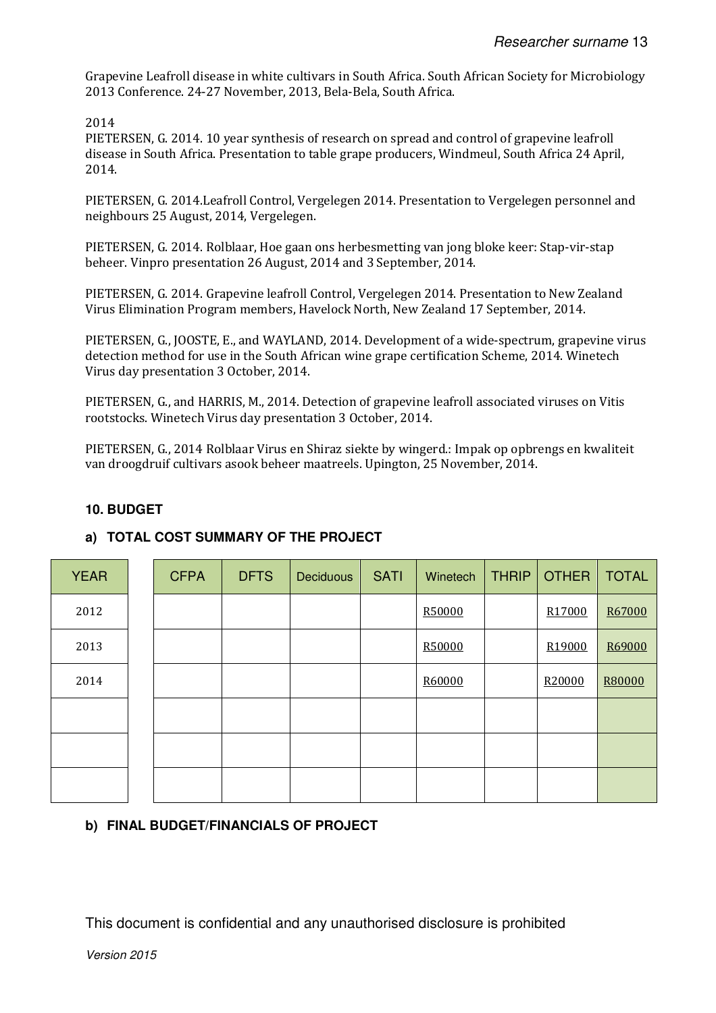Grapevine Leafroll disease in white cultivars in South Africa. South African Society for Microbiology 2013 Conference. 24-27 November, 2013, Bela-Bela, South Africa.

2014

PIETERSEN, G. 2014. 10 year synthesis of research on spread and control of grapevine leafroll disease in South Africa. Presentation to table grape producers, Windmeul, South Africa 24 April, 2014.

PIETERSEN, G. 2014.Leafroll Control, Vergelegen 2014. Presentation to Vergelegen personnel and neighbours 25 August, 2014, Vergelegen.

PIETERSEN, G. 2014. Rolblaar, Hoe gaan ons herbesmetting van jong bloke keer: Stap-vir-stap beheer. Vinpro presentation 26 August, 2014 and 3 September, 2014.

PIETERSEN, G. 2014. Grapevine leafroll Control, Vergelegen 2014. Presentation to New Zealand Virus Elimination Program members, Havelock North, New Zealand 17 September, 2014.

PIETERSEN, G., JOOSTE, E., and WAYLAND, 2014. Development of a wide-spectrum, grapevine virus detection method for use in the South African wine grape certification Scheme, 2014. Winetech Virus day presentation 3 October, 2014.

PIETERSEN, G., and HARRIS, M., 2014. Detection of grapevine leafroll associated viruses on Vitis rootstocks. Winetech Virus day presentation 3 October, 2014.

PIETERSEN, G., 2014 Rolblaar Virus en Shiraz siekte by wingerd.: Impak op opbrengs en kwaliteit van droogdruif cultivars asook beheer maatreels. Upington, 25 November, 2014.

## **10. BUDGET**

# YEAR | | CFPA | DFTS | Deciduous | SATI | Winetech | THRIP | OTHER | TOTAL 2012 R50000 R17000 R67000 2013 R50000 R19000 R69000 2014 R60000 R20000 R80000

# **a) TOTAL COST SUMMARY OF THE PROJECT**

## **b) FINAL BUDGET/FINANCIALS OF PROJECT**